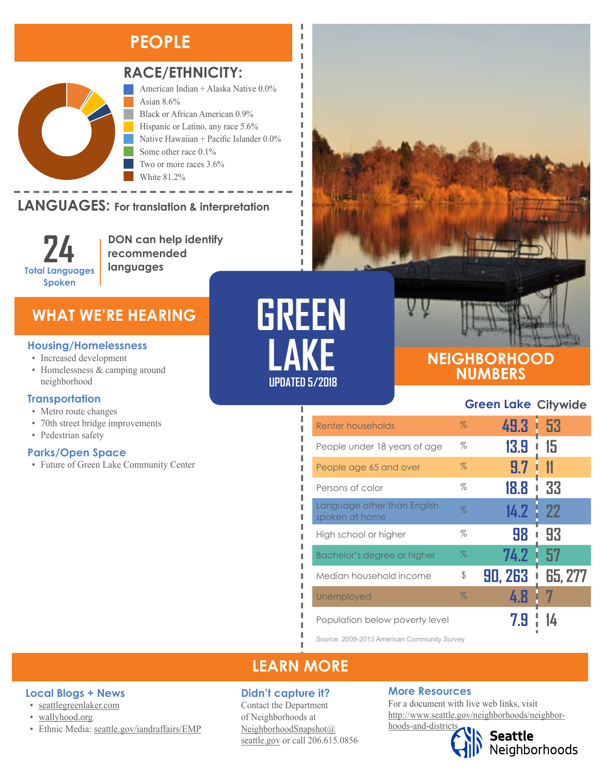## **PEOPLE**



#### **RACE/ETHNICITY:**

Two or more races 3.6%

American Indian + Alaska Native 0.0% Asian 8.6% Black or African American 0.9% Hispanic or Latino, any race 5.6% Native Hawaiian + Pacific Islander 0.0% Some other race 0.1%

LANGUAGES: For translation & interpretation Native Hawaiian and Other Pacific Islander Some Other Race

> **24 Total Languages Spoken**

**DON can help identify recommended languages**

White 81.2%

### **WHAT WE'RE HEARING**

#### **Housing/Homelessness**

- Increased development
- Homelessness & camping around neighborhood

#### **Transportation**

- Metro route changes
- 70th street bridge improvements
- Pedestrian safety

#### **Parks/Open Space**

• Future of Green Lake Community Center

**GREEN LAKE UPDATED 5/2018**

Ï I л л

л Ĭ. I Ī I I J. I I Ī П I, I I

### **NEIGHBORHOOD NUMBERS**

#### **Green Lake Citywide**

| Renter households                             | $\%$ | 49.3 .  | 1.53    |
|-----------------------------------------------|------|---------|---------|
| People under 18 years of age                  | $\%$ | 13.9    | 15      |
| People age 65 and over                        | $\%$ | 9.7     | 11      |
| Persons of color                              | $\%$ | 18.8    | 33<br>ı |
| Language other than English<br>spoken at home | $\%$ | 14.2    | -22     |
| High school or higher                         | $\%$ | 98      | 93<br>ı |
| Bachelor's degree or higher                   | $\%$ | 74.2    | 57      |
| Median household income                       | \$   | 90, 263 | 65, 277 |
| Unemployed                                    | $\%$ | 4.8     |         |
| Population below poverty level                |      |         |         |

Source: 2009-2013 American Community Survey

## **LEARN MORE**

#### **Didn't capture it?**

Contact the Department of Neighborhoods at [NeighborhoodSnapshot@](mailto:NeighborhoodSnapshot%40%0Aseattle.gov?subject=) [seattle.gov](mailto:NeighborhoodSnapshot%40%0Aseattle.gov?subject=) or call 206.615.0856

#### **More Resources**

For a document with live web links, visit [http://www.seattle.gov/neighborhoods/neighbor-](http://www.seattle.gov/neighborhoods/neighborhoods-and-districts)

# [hoods-and-districts](http://www.seattle.gov/neighborhoods/neighborhoods-and-districts)

# Seattle<br>Neighborhoods

#### • [wallyhood.org](http://www.wallyhood.org/#gsc.tab=0)

**Local Blogs + News** • [seattlegreenlaker.com](http://www.seattlegreenlaker.com/)

• Ethnic Media: [seattle.gov/iandraffairs/EMP](http://www.seattle.gov/iandraffairs/EMP)